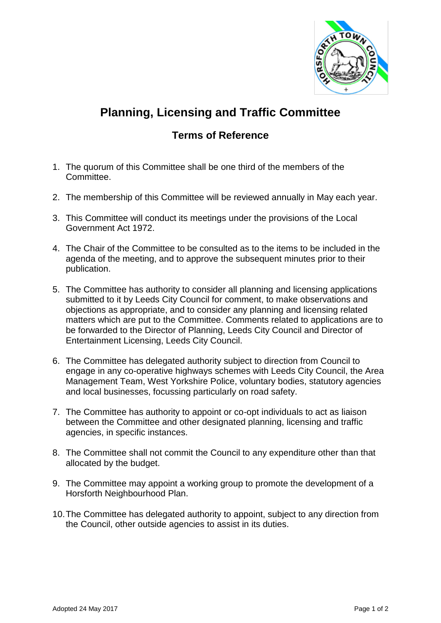

## **Planning, Licensing and Traffic Committee**

## **Terms of Reference**

- 1. The quorum of this Committee shall be one third of the members of the Committee.
- 2. The membership of this Committee will be reviewed annually in May each year.
- 3. This Committee will conduct its meetings under the provisions of the Local Government Act 1972.
- 4. The Chair of the Committee to be consulted as to the items to be included in the agenda of the meeting, and to approve the subsequent minutes prior to their publication.
- 5. The Committee has authority to consider all planning and licensing applications submitted to it by Leeds City Council for comment, to make observations and objections as appropriate, and to consider any planning and licensing related matters which are put to the Committee. Comments related to applications are to be forwarded to the Director of Planning, Leeds City Council and Director of Entertainment Licensing, Leeds City Council.
- 6. The Committee has delegated authority subject to direction from Council to engage in any co-operative highways schemes with Leeds City Council, the Area Management Team, West Yorkshire Police, voluntary bodies, statutory agencies and local businesses, focussing particularly on road safety.
- 7. The Committee has authority to appoint or co-opt individuals to act as liaison between the Committee and other designated planning, licensing and traffic agencies, in specific instances.
- 8. The Committee shall not commit the Council to any expenditure other than that allocated by the budget.
- 9. The Committee may appoint a working group to promote the development of a Horsforth Neighbourhood Plan.
- 10.The Committee has delegated authority to appoint, subject to any direction from the Council, other outside agencies to assist in its duties.